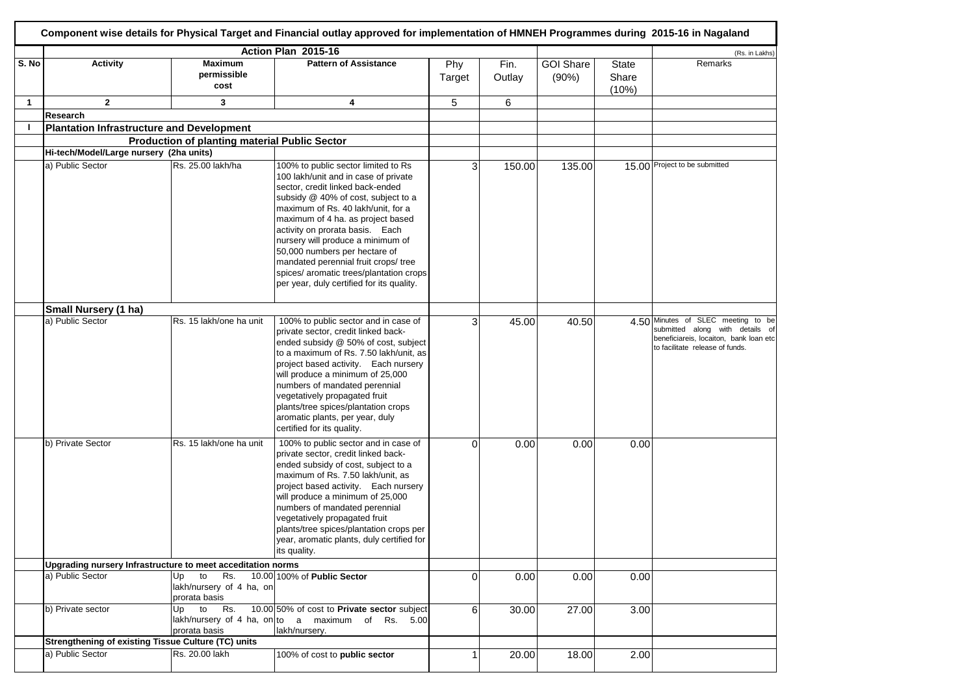|              |                                                             |                                                           | Component wise details for Physical Target and Financial outlay approved for implementation of HMNEH Programmes during 2015-16 in Nagaland                                                                                                                                                                                                                                                                                                                                 |               |                |                           |                                |                                                                                                                                                    |
|--------------|-------------------------------------------------------------|-----------------------------------------------------------|----------------------------------------------------------------------------------------------------------------------------------------------------------------------------------------------------------------------------------------------------------------------------------------------------------------------------------------------------------------------------------------------------------------------------------------------------------------------------|---------------|----------------|---------------------------|--------------------------------|----------------------------------------------------------------------------------------------------------------------------------------------------|
|              |                                                             |                                                           | Action Plan 2015-16                                                                                                                                                                                                                                                                                                                                                                                                                                                        |               |                |                           |                                | (Rs. in Lakhs)                                                                                                                                     |
| S. No        | <b>Activity</b>                                             | <b>Maximum</b><br>permissible<br>cost                     | <b>Pattern of Assistance</b>                                                                                                                                                                                                                                                                                                                                                                                                                                               | Phy<br>Target | Fin.<br>Outlay | <b>GOI Share</b><br>(90%) | <b>State</b><br>Share<br>(10%) | Remarks                                                                                                                                            |
| $\mathbf{1}$ | $\mathbf{2}$                                                | 3                                                         | 4                                                                                                                                                                                                                                                                                                                                                                                                                                                                          | 5             | 6              |                           |                                |                                                                                                                                                    |
|              | Research                                                    |                                                           |                                                                                                                                                                                                                                                                                                                                                                                                                                                                            |               |                |                           |                                |                                                                                                                                                    |
|              |                                                             |                                                           |                                                                                                                                                                                                                                                                                                                                                                                                                                                                            |               |                |                           |                                |                                                                                                                                                    |
|              | <b>Plantation Infrastructure and Development</b>            |                                                           |                                                                                                                                                                                                                                                                                                                                                                                                                                                                            |               |                |                           |                                |                                                                                                                                                    |
|              |                                                             | <b>Production of planting material Public Sector</b>      |                                                                                                                                                                                                                                                                                                                                                                                                                                                                            |               |                |                           |                                |                                                                                                                                                    |
|              | Hi-tech/Model/Large nursery (2ha units)                     |                                                           |                                                                                                                                                                                                                                                                                                                                                                                                                                                                            |               |                |                           |                                |                                                                                                                                                    |
|              | a) Public Sector                                            | Rs. 25.00 lakh/ha                                         | 100% to public sector limited to Rs<br>100 lakh/unit and in case of private<br>sector, credit linked back-ended<br>subsidy @ 40% of cost, subject to a<br>maximum of Rs. 40 lakh/unit, for a<br>maximum of 4 ha. as project based<br>activity on prorata basis. Each<br>nursery will produce a minimum of<br>50,000 numbers per hectare of<br>mandated perennial fruit crops/ tree<br>spices/ aromatic trees/plantation crops<br>per year, duly certified for its quality. | 3             | 150.00         | 135.00                    |                                | 15.00 Project to be submitted                                                                                                                      |
|              | Small Nursery (1 ha)                                        |                                                           |                                                                                                                                                                                                                                                                                                                                                                                                                                                                            |               |                |                           |                                |                                                                                                                                                    |
|              | a) Public Sector                                            | Rs. 15 lakh/one ha unit                                   | 100% to public sector and in case of<br>private sector, credit linked back-<br>ended subsidy @ 50% of cost, subject<br>to a maximum of Rs. 7.50 lakh/unit, as<br>project based activity. Each nursery<br>will produce a minimum of 25,000<br>numbers of mandated perennial<br>vegetatively propagated fruit<br>plants/tree spices/plantation crops<br>aromatic plants, per year, duly<br>certified for its quality.                                                        | 3             | 45.00          | 40.50                     |                                | 4.50 Minutes of SLEC meeting to be<br>submitted along with details of<br>beneficiareis, locaiton, bank loan etc<br>to facilitate release of funds. |
|              | b) Private Sector                                           | Rs. 15 lakh/one ha unit                                   | 100% to public sector and in case of<br>private sector, credit linked back-<br>ended subsidy of cost, subject to a<br>maximum of Rs. 7.50 lakh/unit, as<br>project based activity. Each nursery<br>will produce a minimum of 25,000<br>numbers of mandated perennial<br>vegetatively propagated fruit<br>plants/tree spices/plantation crops per<br>year, aromatic plants, duly certified for<br>its quality.                                                              | $\Omega$      | 0.00           | 0.00                      | 0.00                           |                                                                                                                                                    |
|              | Upgrading nursery Infrastructure to meet acceditation norms |                                                           |                                                                                                                                                                                                                                                                                                                                                                                                                                                                            |               |                |                           |                                |                                                                                                                                                    |
|              | a) Public Sector                                            | to Rs.<br>Up<br>lakh/nursery of 4 ha, on<br>prorata basis | 10.00 100% of Public Sector                                                                                                                                                                                                                                                                                                                                                                                                                                                | 0             | 0.00           | 0.00                      | 0.00                           |                                                                                                                                                    |
|              | b) Private sector                                           | to<br>Rs.<br>Up<br>prorata basis                          | 10.00 50% of cost to Private sector subject<br>lakh/nursery of 4 ha, on to a maximum of Rs. 5.00<br>lakh/nursery.                                                                                                                                                                                                                                                                                                                                                          | 6             | 30.00          | 27.00                     | 3.00                           |                                                                                                                                                    |
|              | Strengthening of existing Tissue Culture (TC) units         |                                                           |                                                                                                                                                                                                                                                                                                                                                                                                                                                                            |               |                |                           |                                |                                                                                                                                                    |
|              | a) Public Sector                                            | Rs. 20.00 lakh                                            | 100% of cost to public sector                                                                                                                                                                                                                                                                                                                                                                                                                                              | 1             | 20.00          | 18.00                     | 2.00                           |                                                                                                                                                    |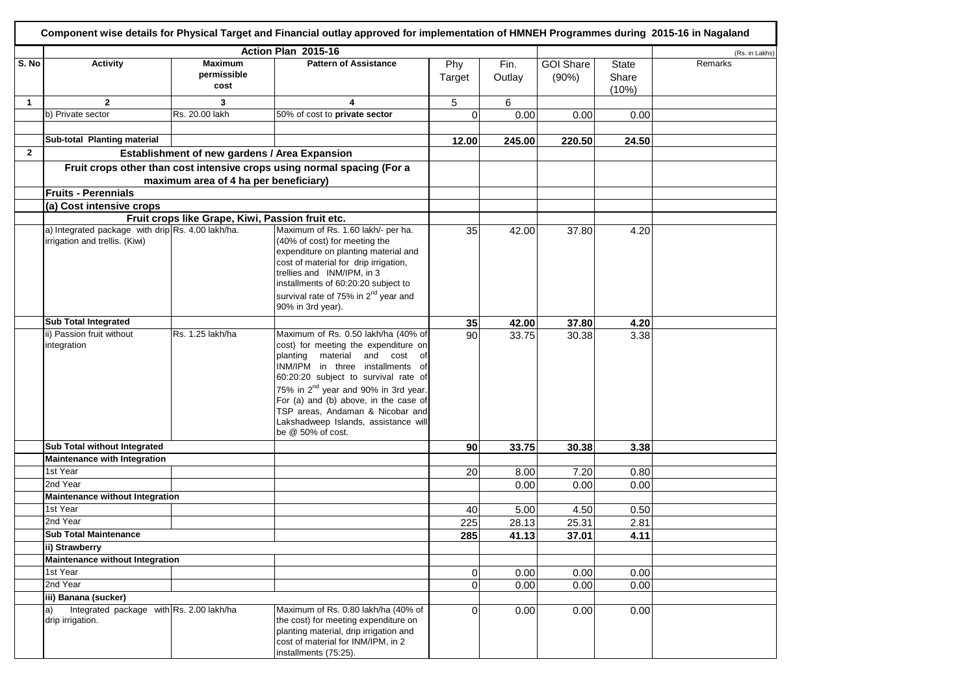|              |                                                   |                                                  | Component wise details for Physical Target and Financial outlay approved for implementation of HMNEH Programmes during 2015-16 in Nagaland                                                                                                                                                                                                            |                |        |                  |                |                |
|--------------|---------------------------------------------------|--------------------------------------------------|-------------------------------------------------------------------------------------------------------------------------------------------------------------------------------------------------------------------------------------------------------------------------------------------------------------------------------------------------------|----------------|--------|------------------|----------------|----------------|
|              |                                                   |                                                  | Action Plan 2015-16                                                                                                                                                                                                                                                                                                                                   |                |        |                  |                | (Rs. in Lakhs) |
| S. No        | <b>Activity</b>                                   | <b>Maximum</b>                                   | <b>Pattern of Assistance</b>                                                                                                                                                                                                                                                                                                                          | Phy            | Fin.   | <b>GOI Share</b> | <b>State</b>   | Remarks        |
|              |                                                   | permissible<br>cost                              |                                                                                                                                                                                                                                                                                                                                                       | Target         | Outlay | (90%)            | Share<br>(10%) |                |
| $\mathbf{1}$ | $\overline{2}$                                    | 3                                                | 4                                                                                                                                                                                                                                                                                                                                                     | 5              | 6      |                  |                |                |
|              | b) Private sector                                 | Rs. 20.00 lakh                                   | 50% of cost to private sector                                                                                                                                                                                                                                                                                                                         | $\Omega$       | 0.00   | 0.00             | 0.00           |                |
|              |                                                   |                                                  |                                                                                                                                                                                                                                                                                                                                                       |                |        |                  |                |                |
|              | Sub-total Planting material                       |                                                  |                                                                                                                                                                                                                                                                                                                                                       | 12.00          | 245.00 | 220.50           | 24.50          |                |
| $\mathbf{2}$ |                                                   | Establishment of new gardens / Area Expansion    |                                                                                                                                                                                                                                                                                                                                                       |                |        |                  |                |                |
|              |                                                   |                                                  |                                                                                                                                                                                                                                                                                                                                                       |                |        |                  |                |                |
|              |                                                   | maximum area of 4 ha per beneficiary)            | Fruit crops other than cost intensive crops using normal spacing (For a                                                                                                                                                                                                                                                                               |                |        |                  |                |                |
|              | <b>Fruits - Perennials</b>                        |                                                  |                                                                                                                                                                                                                                                                                                                                                       |                |        |                  |                |                |
|              | (a) Cost intensive crops                          |                                                  |                                                                                                                                                                                                                                                                                                                                                       |                |        |                  |                |                |
|              |                                                   | Fruit crops like Grape, Kiwi, Passion fruit etc. |                                                                                                                                                                                                                                                                                                                                                       |                |        |                  |                |                |
|              | a) Integrated package with drip Rs. 4.00 lakh/ha. |                                                  | Maximum of Rs. 1.60 lakh/- per ha.                                                                                                                                                                                                                                                                                                                    | 35             | 42.00  | 37.80            | 4.20           |                |
|              | irrigation and trellis. (Kiwi)                    |                                                  | (40% of cost) for meeting the<br>expenditure on planting material and<br>cost of material for drip irrigation,<br>trellies and INM/IPM, in 3<br>installments of 60:20:20 subject to                                                                                                                                                                   |                |        |                  |                |                |
|              |                                                   |                                                  | survival rate of 75% in 2 <sup>nd</sup> year and<br>90% in 3rd year).                                                                                                                                                                                                                                                                                 |                |        |                  |                |                |
|              | <b>Sub Total Integrated</b>                       |                                                  |                                                                                                                                                                                                                                                                                                                                                       | 35             | 42.00  | 37.80            | 4.20           |                |
|              | ii) Passion fruit without                         | Rs. 1.25 lakh/ha                                 | Maximum of Rs. 0.50 lakh/ha (40% of                                                                                                                                                                                                                                                                                                                   | 90             | 33.75  | 30.38            | 3.38           |                |
|              | integration                                       |                                                  | cost) for meeting the expenditure on<br>material<br>and cost of<br>planting<br>INM/IPM in three installments of<br>60:20:20 subject to survival rate of<br>75% in 2 <sup>nd</sup> year and 90% in 3rd year.<br>For (a) and (b) above, in the case of<br>TSP areas, Andaman & Nicobar and<br>Lakshadweep Islands, assistance will<br>be @ 50% of cost. |                |        |                  |                |                |
|              | Sub Total without Integrated                      |                                                  |                                                                                                                                                                                                                                                                                                                                                       | 90             | 33.75  | 30.38            | 3.38           |                |
|              | Maintenance with Integration                      |                                                  |                                                                                                                                                                                                                                                                                                                                                       |                |        |                  |                |                |
|              | 1st Year                                          |                                                  |                                                                                                                                                                                                                                                                                                                                                       | 20             | 8.00   | 7.20             | 0.80           |                |
|              | 2nd Year                                          |                                                  |                                                                                                                                                                                                                                                                                                                                                       |                | 0.00   | 0.00             | 0.00           |                |
|              | Maintenance without Integration                   |                                                  |                                                                                                                                                                                                                                                                                                                                                       |                |        |                  |                |                |
|              | 1st Year                                          |                                                  |                                                                                                                                                                                                                                                                                                                                                       | 40             | 5.00   | 4.50             | 0.50           |                |
|              | 2nd Year                                          |                                                  |                                                                                                                                                                                                                                                                                                                                                       | 225            | 28.13  | 25.31            | 2.81           |                |
|              | <b>Sub Total Maintenance</b>                      |                                                  |                                                                                                                                                                                                                                                                                                                                                       | 285            | 41.13  | 37.01            | 4.11           |                |
|              | ii) Strawberry                                    |                                                  |                                                                                                                                                                                                                                                                                                                                                       |                |        |                  |                |                |
|              | Maintenance without Integration                   |                                                  |                                                                                                                                                                                                                                                                                                                                                       |                |        |                  |                |                |
|              | 1st Year                                          |                                                  |                                                                                                                                                                                                                                                                                                                                                       | $\overline{0}$ | 0.00   | 0.00             | 0.00           |                |
|              | 2nd Year                                          |                                                  |                                                                                                                                                                                                                                                                                                                                                       | $\overline{0}$ | 0.00   | 0.00             | 0.00           |                |
|              | iii) Banana (sucker)                              |                                                  |                                                                                                                                                                                                                                                                                                                                                       |                |        |                  |                |                |
|              | Integrated package with Rs. 2.00 lakh/ha<br>a)    |                                                  | Maximum of Rs. 0.80 lakh/ha (40% of                                                                                                                                                                                                                                                                                                                   | $\Omega$       | 0.00   | 0.00             | 0.00           |                |
|              | drip irrigation.                                  |                                                  | the cost) for meeting expenditure on<br>planting material, drip irrigation and<br>cost of material for INM/IPM, in 2<br>installments (75:25).                                                                                                                                                                                                         |                |        |                  |                |                |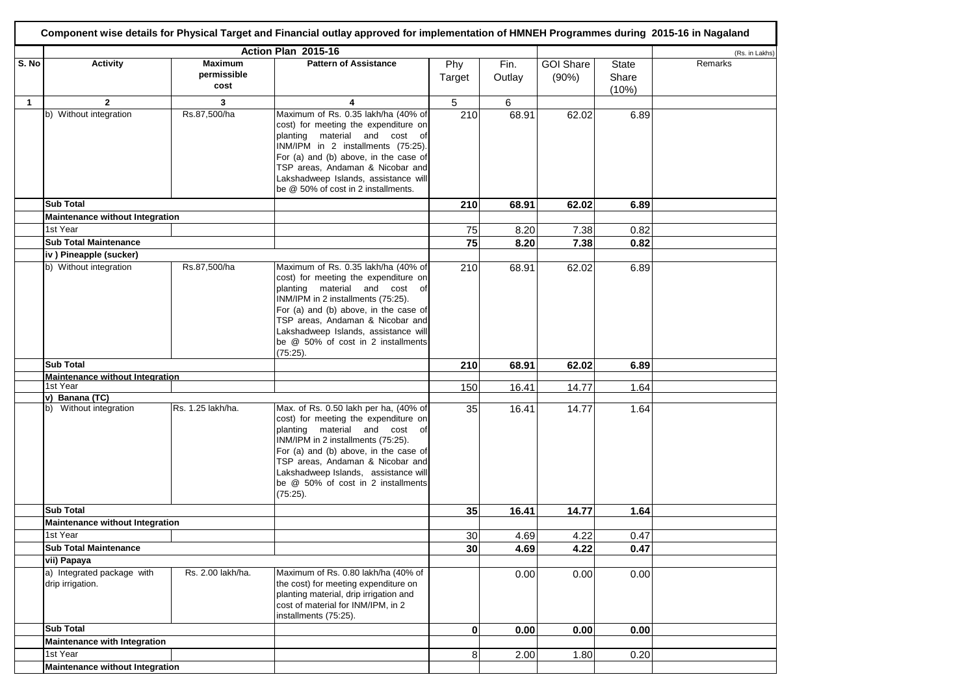|       |                                                |                                       | Component wise details for Physical Target and Financial outlay approved for implementation of HMNEH Programmes during 2015-16 in Nagaland                                                                                                                                                                                     |                 |                |                           |                                |                |
|-------|------------------------------------------------|---------------------------------------|--------------------------------------------------------------------------------------------------------------------------------------------------------------------------------------------------------------------------------------------------------------------------------------------------------------------------------|-----------------|----------------|---------------------------|--------------------------------|----------------|
|       |                                                |                                       | Action Plan 2015-16                                                                                                                                                                                                                                                                                                            |                 |                |                           |                                | (Rs. in Lakhs) |
| S. No | <b>Activity</b>                                | <b>Maximum</b><br>permissible<br>cost | <b>Pattern of Assistance</b>                                                                                                                                                                                                                                                                                                   | Phy<br>Target   | Fin.<br>Outlay | <b>GOI Share</b><br>(90%) | <b>State</b><br>Share<br>(10%) | Remarks        |
| 1     | $\mathbf{2}$                                   | 3                                     | 4                                                                                                                                                                                                                                                                                                                              | 5               | 6              |                           |                                |                |
|       | b) Without integration                         | Rs.87,500/ha                          | Maximum of Rs. 0.35 lakh/ha (40% of                                                                                                                                                                                                                                                                                            | 210             | 68.91          | 62.02                     | 6.89                           |                |
|       |                                                |                                       | cost) for meeting the expenditure on<br>planting material and cost of<br>INM/IPM in 2 installments (75:25).<br>For (a) and (b) above, in the case of<br>TSP areas, Andaman & Nicobar and<br>Lakshadweep Islands, assistance will<br>be @ 50% of cost in 2 installments.                                                        |                 |                |                           |                                |                |
|       | <b>Sub Total</b>                               |                                       |                                                                                                                                                                                                                                                                                                                                | 210             | 68.91          | 62.02                     | 6.89                           |                |
|       | Maintenance without Integration                |                                       |                                                                                                                                                                                                                                                                                                                                |                 |                |                           |                                |                |
|       | 1st Year                                       |                                       |                                                                                                                                                                                                                                                                                                                                | 75              | 8.20           | 7.38                      | 0.82                           |                |
|       | <b>Sub Total Maintenance</b>                   |                                       |                                                                                                                                                                                                                                                                                                                                | $\overline{75}$ | 8.20           | 7.38                      | 0.82                           |                |
|       | iv) Pineapple (sucker)                         |                                       |                                                                                                                                                                                                                                                                                                                                |                 |                |                           |                                |                |
|       | b) Without integration                         | Rs.87,500/ha                          | Maximum of Rs. 0.35 lakh/ha (40% of<br>cost) for meeting the expenditure on<br>planting material and cost of<br>INM/IPM in 2 installments (75:25).<br>For (a) and (b) above, in the case of<br>TSP areas, Andaman & Nicobar and<br>Lakshadweep Islands, assistance will<br>be @ 50% of cost in 2 installments<br>(75:25).      | 210             | 68.91          | 62.02                     | 6.89                           |                |
|       | <b>Sub Total</b>                               |                                       |                                                                                                                                                                                                                                                                                                                                | 210             | 68.91          | 62.02                     | 6.89                           |                |
|       | Maintenance without Integration                |                                       |                                                                                                                                                                                                                                                                                                                                |                 |                |                           |                                |                |
|       | 1st Year                                       |                                       |                                                                                                                                                                                                                                                                                                                                | 150             | 16.41          | 14.77                     | 1.64                           |                |
|       | v) Banana (TC)<br>b) Without integration       | Rs. 1.25 lakh/ha.                     | Max. of Rs. 0.50 lakh per ha, (40% of<br>cost) for meeting the expenditure on<br>planting material and cost of<br>INM/IPM in 2 installments (75:25).<br>For (a) and (b) above, in the case of<br>TSP areas, Andaman & Nicobar and<br>Lakshadweep Islands, assistance will<br>be @ 50% of cost in 2 installments<br>$(75:25)$ . | 35              | 16.41          | 14.77                     | 1.64                           |                |
|       | <b>Sub Total</b>                               |                                       |                                                                                                                                                                                                                                                                                                                                | 35              | 16.41          | 14.77                     | 1.64                           |                |
|       | Maintenance without Integration                |                                       |                                                                                                                                                                                                                                                                                                                                |                 |                |                           |                                |                |
|       | 1st Year                                       |                                       |                                                                                                                                                                                                                                                                                                                                | 30              | 4.69           | 4.22                      | 0.47                           |                |
|       | <b>Sub Total Maintenance</b>                   |                                       |                                                                                                                                                                                                                                                                                                                                | 30              | 4.69           | 4.22                      | 0.47                           |                |
|       | vii) Papaya                                    |                                       |                                                                                                                                                                                                                                                                                                                                |                 |                |                           |                                |                |
|       | a) Integrated package with<br>drip irrigation. | Rs. 2.00 lakh/ha.                     | Maximum of Rs. 0.80 lakh/ha (40% of<br>the cost) for meeting expenditure on<br>planting material, drip irrigation and<br>cost of material for INM/IPM, in 2<br>installments (75:25).                                                                                                                                           |                 | 0.00           | 0.00                      | 0.00                           |                |
|       | <b>Sub Total</b>                               |                                       |                                                                                                                                                                                                                                                                                                                                | $\mathbf{0}$    | 0.00           | 0.00                      | 0.00                           |                |
|       | <b>Maintenance with Integration</b>            |                                       |                                                                                                                                                                                                                                                                                                                                |                 |                |                           |                                |                |
|       | 1st Year                                       |                                       |                                                                                                                                                                                                                                                                                                                                | 8               | 2.00           | 1.80                      | 0.20                           |                |
|       | Maintenance without Integration                |                                       |                                                                                                                                                                                                                                                                                                                                |                 |                |                           |                                |                |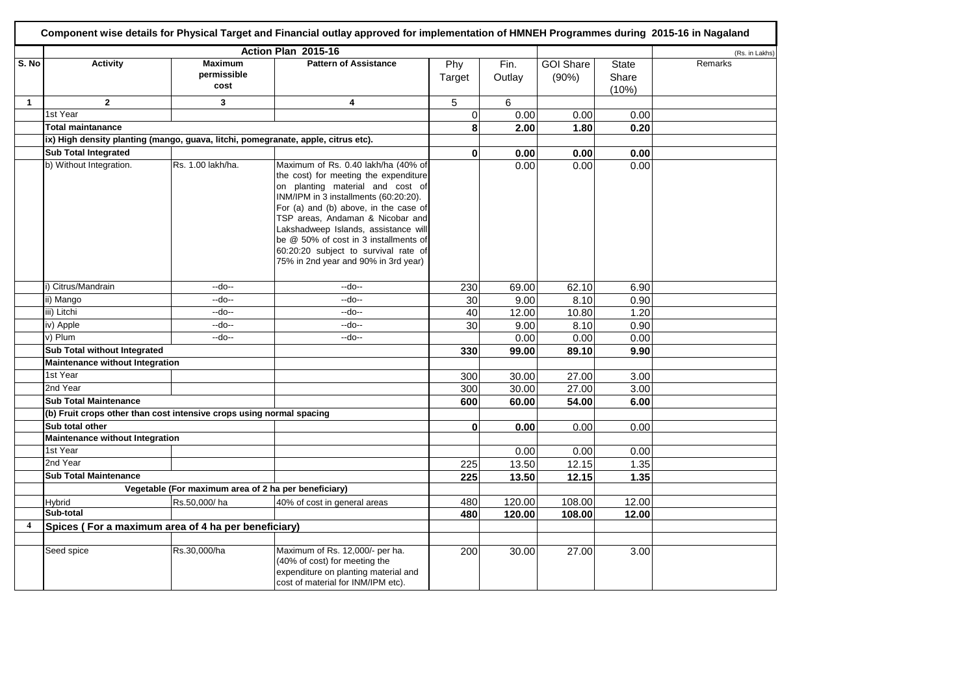|                |                                                                                   |                                                      | Component wise details for Physical Target and Financial outlay approved for implementation of HMNEH Programmes during 2015-16 in Nagaland                                                                                                                                                                                                                                                              |                 |                |                           |                                |                |
|----------------|-----------------------------------------------------------------------------------|------------------------------------------------------|---------------------------------------------------------------------------------------------------------------------------------------------------------------------------------------------------------------------------------------------------------------------------------------------------------------------------------------------------------------------------------------------------------|-----------------|----------------|---------------------------|--------------------------------|----------------|
|                |                                                                                   |                                                      | Action Plan 2015-16                                                                                                                                                                                                                                                                                                                                                                                     |                 |                |                           |                                | (Rs. in Lakhs) |
| S. No          | <b>Activity</b>                                                                   | <b>Maximum</b><br>permissible<br>cost                | <b>Pattern of Assistance</b>                                                                                                                                                                                                                                                                                                                                                                            | Phy<br>Target   | Fin.<br>Outlay | <b>GOI Share</b><br>(90%) | <b>State</b><br>Share<br>(10%) | Remarks        |
| $\mathbf{1}$   | $\overline{2}$                                                                    | $\mathbf{3}$                                         | 4                                                                                                                                                                                                                                                                                                                                                                                                       | 5               | 6              |                           |                                |                |
|                | 1st Year                                                                          |                                                      |                                                                                                                                                                                                                                                                                                                                                                                                         | $\mathbf 0$     | 0.00           | 0.00                      | 0.00                           |                |
|                | <b>Total maintanance</b>                                                          |                                                      |                                                                                                                                                                                                                                                                                                                                                                                                         | 8               | 2.00           | 1.80                      | 0.20                           |                |
|                | ix) High density planting (mango, guava, litchi, pomegranate, apple, citrus etc). |                                                      |                                                                                                                                                                                                                                                                                                                                                                                                         |                 |                |                           |                                |                |
|                | <b>Sub Total Integrated</b>                                                       |                                                      |                                                                                                                                                                                                                                                                                                                                                                                                         | $\mathbf{0}$    | 0.00           | 0.00                      | 0.00                           |                |
|                | b) Without Integration.                                                           | Rs. 1.00 lakh/ha.                                    | Maximum of Rs. 0.40 lakh/ha (40% of<br>the cost) for meeting the expenditure<br>on planting material and cost of<br>INM/IPM in 3 installments (60:20:20).<br>For (a) and (b) above, in the case of<br>TSP areas, Andaman & Nicobar and<br>Lakshadweep Islands, assistance will<br>be @ 50% of cost in 3 installments of<br>60:20:20 subject to survival rate of<br>75% in 2nd year and 90% in 3rd year) |                 | 0.00           | 0.00                      | 0.00                           |                |
|                | i) Citrus/Mandrain                                                                | --do--                                               | --do--                                                                                                                                                                                                                                                                                                                                                                                                  | 230             | 69.00          | 62.10                     | 6.90                           |                |
|                | ii) Mango                                                                         | --do--                                               | $-do-$                                                                                                                                                                                                                                                                                                                                                                                                  | 30              | 9.00           | 8.10                      | 0.90                           |                |
|                | iii) Litchi                                                                       | --do--                                               | --do--                                                                                                                                                                                                                                                                                                                                                                                                  | 40              | 12.00          | 10.80                     | 1.20                           |                |
|                | iv) Apple                                                                         | --do--                                               | --do--                                                                                                                                                                                                                                                                                                                                                                                                  | $\overline{30}$ | 9.00           | 8.10                      | 0.90                           |                |
|                | v) Plum                                                                           | --do--                                               | --do--                                                                                                                                                                                                                                                                                                                                                                                                  |                 | 0.00           | 0.00                      | 0.00                           |                |
|                | Sub Total without Integrated                                                      |                                                      |                                                                                                                                                                                                                                                                                                                                                                                                         | 330             | 99.00          | 89.10                     | 9.90                           |                |
|                | Maintenance without Integration                                                   |                                                      |                                                                                                                                                                                                                                                                                                                                                                                                         |                 |                |                           |                                |                |
|                | 1st Year                                                                          |                                                      |                                                                                                                                                                                                                                                                                                                                                                                                         | 300             | 30.00          | 27.00                     | 3.00                           |                |
|                | 2nd Year                                                                          |                                                      |                                                                                                                                                                                                                                                                                                                                                                                                         | 300             | 30.00          | 27.00                     | 3.00                           |                |
|                | <b>Sub Total Maintenance</b>                                                      |                                                      |                                                                                                                                                                                                                                                                                                                                                                                                         | 600             | 60.00          | 54.00                     | 6.00                           |                |
|                | (b) Fruit crops other than cost intensive crops using normal spacing              |                                                      |                                                                                                                                                                                                                                                                                                                                                                                                         |                 |                |                           |                                |                |
|                | Sub total other                                                                   |                                                      |                                                                                                                                                                                                                                                                                                                                                                                                         | $\mathbf{0}$    | 0.00           | 0.00                      | 0.00                           |                |
|                | Maintenance without Integration                                                   |                                                      |                                                                                                                                                                                                                                                                                                                                                                                                         |                 |                |                           |                                |                |
|                | 1st Year                                                                          |                                                      |                                                                                                                                                                                                                                                                                                                                                                                                         |                 | 0.00           | 0.00                      | 0.00                           |                |
|                | 2nd Year                                                                          |                                                      |                                                                                                                                                                                                                                                                                                                                                                                                         | 225             | 13.50          | 12.15                     | 1.35                           |                |
|                | <b>Sub Total Maintenance</b>                                                      |                                                      |                                                                                                                                                                                                                                                                                                                                                                                                         | 225             | 13.50          | 12.15                     | 1.35                           |                |
|                |                                                                                   | Vegetable (For maximum area of 2 ha per beneficiary) |                                                                                                                                                                                                                                                                                                                                                                                                         |                 |                |                           |                                |                |
|                | Hybrid                                                                            | Rs.50,000/ha                                         | 40% of cost in general areas                                                                                                                                                                                                                                                                                                                                                                            | 480             | 120.00         | 108.00                    | 12.00                          |                |
|                | Sub-total                                                                         |                                                      |                                                                                                                                                                                                                                                                                                                                                                                                         | 480             | 120.00         | 108.00                    | 12.00                          |                |
| $\overline{4}$ | Spices (For a maximum area of 4 ha per beneficiary)                               |                                                      |                                                                                                                                                                                                                                                                                                                                                                                                         |                 |                |                           |                                |                |
|                |                                                                                   |                                                      |                                                                                                                                                                                                                                                                                                                                                                                                         |                 |                |                           |                                |                |
|                | Seed spice                                                                        | Rs.30,000/ha                                         | Maximum of Rs. 12,000/- per ha.<br>(40% of cost) for meeting the<br>expenditure on planting material and<br>cost of material for INM/IPM etc).                                                                                                                                                                                                                                                          | 200             | 30.00          | 27.00                     | 3.00                           |                |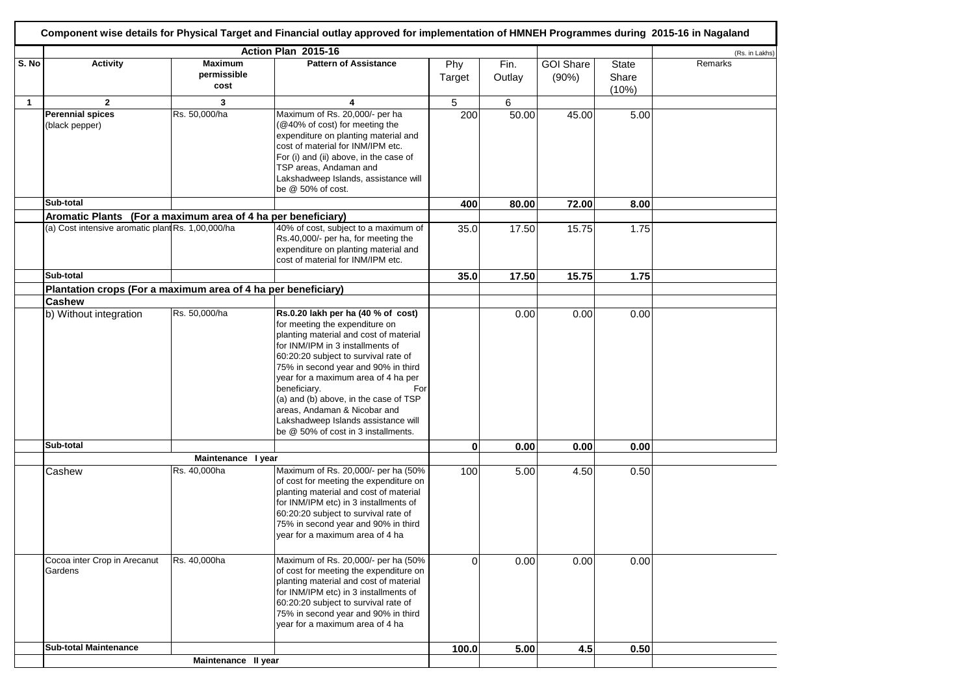|              |                                                               |                     | Component wise details for Physical Target and Financial outlay approved for implementation of HMNEH Programmes during 2015-16 in Nagaland                                                                                                                                                                                                                                                                       |          |        |                  |                |                |
|--------------|---------------------------------------------------------------|---------------------|------------------------------------------------------------------------------------------------------------------------------------------------------------------------------------------------------------------------------------------------------------------------------------------------------------------------------------------------------------------------------------------------------------------|----------|--------|------------------|----------------|----------------|
|              |                                                               |                     | Action Plan 2015-16                                                                                                                                                                                                                                                                                                                                                                                              |          |        |                  |                | (Rs. in Lakhs) |
| S. No        | <b>Activity</b>                                               | <b>Maximum</b>      | <b>Pattern of Assistance</b>                                                                                                                                                                                                                                                                                                                                                                                     | Phy      | Fin.   | <b>GOI Share</b> | <b>State</b>   | Remarks        |
|              |                                                               | permissible<br>cost |                                                                                                                                                                                                                                                                                                                                                                                                                  | Target   | Outlay | (90%)            | Share<br>(10%) |                |
| $\mathbf{1}$ | $\mathbf{2}$                                                  | 3                   | 4                                                                                                                                                                                                                                                                                                                                                                                                                | 5        | 6      |                  |                |                |
|              | <b>Perennial spices</b><br>(black pepper)                     | Rs. 50,000/ha       | Maximum of Rs. 20,000/- per ha<br>@40% of cost) for meeting the                                                                                                                                                                                                                                                                                                                                                  | 200      | 50.00  | 45.00            | 5.00           |                |
|              |                                                               |                     | expenditure on planting material and<br>cost of material for INM/IPM etc.<br>For (i) and (ii) above, in the case of<br>TSP areas, Andaman and<br>Lakshadweep Islands, assistance will<br>be @ 50% of cost.                                                                                                                                                                                                       |          |        |                  |                |                |
|              | Sub-total                                                     |                     |                                                                                                                                                                                                                                                                                                                                                                                                                  | 400      | 80.00  | 72.00            | 8.00           |                |
|              | Aromatic Plants (For a maximum area of 4 ha per beneficiary)  |                     |                                                                                                                                                                                                                                                                                                                                                                                                                  |          |        |                  |                |                |
|              | (a) Cost intensive aromatic plant Rs. 1,00,000/ha             |                     | 40% of cost, subject to a maximum of                                                                                                                                                                                                                                                                                                                                                                             | 35.0     | 17.50  | 15.75            | 1.75           |                |
|              |                                                               |                     | Rs.40,000/- per ha, for meeting the<br>expenditure on planting material and<br>cost of material for INM/IPM etc.                                                                                                                                                                                                                                                                                                 |          |        |                  |                |                |
|              | Sub-total                                                     |                     |                                                                                                                                                                                                                                                                                                                                                                                                                  | 35.0     | 17.50  | 15.75            | 1.75           |                |
|              | Plantation crops (For a maximum area of 4 ha per beneficiary) |                     |                                                                                                                                                                                                                                                                                                                                                                                                                  |          |        |                  |                |                |
|              | <b>Cashew</b>                                                 |                     |                                                                                                                                                                                                                                                                                                                                                                                                                  |          |        |                  |                |                |
|              | b) Without integration                                        | Rs. 50,000/ha       | Rs.0.20 lakh per ha (40 % of cost)                                                                                                                                                                                                                                                                                                                                                                               |          | 0.00   | 0.00             | 0.00           |                |
|              |                                                               |                     | for meeting the expenditure on<br>planting material and cost of material<br>for INM/IPM in 3 installments of<br>60:20:20 subject to survival rate of<br>75% in second year and 90% in third<br>year for a maximum area of 4 ha per<br>beneficiary.<br>For<br>(a) and (b) above, in the case of TSP<br>areas, Andaman & Nicobar and<br>Lakshadweep Islands assistance will<br>be @ 50% of cost in 3 installments. |          |        |                  |                |                |
|              | Sub-total                                                     |                     |                                                                                                                                                                                                                                                                                                                                                                                                                  | 0        | 0.00   | 0.00             | 0.00           |                |
|              |                                                               | Maintenance I year  |                                                                                                                                                                                                                                                                                                                                                                                                                  |          |        |                  |                |                |
|              | Cashew                                                        | Rs. 40,000ha        | Maximum of Rs. 20,000/- per ha (50%<br>of cost for meeting the expenditure on<br>planting material and cost of material<br>for INM/IPM etc) in 3 installments of<br>60:20:20 subject to survival rate of<br>75% in second year and 90% in third<br>year for a maximum area of 4 ha                                                                                                                               | 100      | 5.00   | 4.50             | 0.50           |                |
|              | Cocoa inter Crop in Arecanut<br>Gardens                       | Rs. 40,000ha        | Maximum of Rs. 20,000/- per ha (50%<br>of cost for meeting the expenditure on<br>planting material and cost of material<br>for INM/IPM etc) in 3 installments of<br>60:20:20 subject to survival rate of<br>75% in second year and 90% in third<br>vear for a maximum area of 4 ha                                                                                                                               | $\Omega$ | 0.00   | 0.00             | 0.00           |                |
|              | <b>Sub-total Maintenance</b>                                  |                     |                                                                                                                                                                                                                                                                                                                                                                                                                  | 100.0    | 5.00   | 4.5              | 0.50           |                |
|              |                                                               | Maintenance II year |                                                                                                                                                                                                                                                                                                                                                                                                                  |          |        |                  |                |                |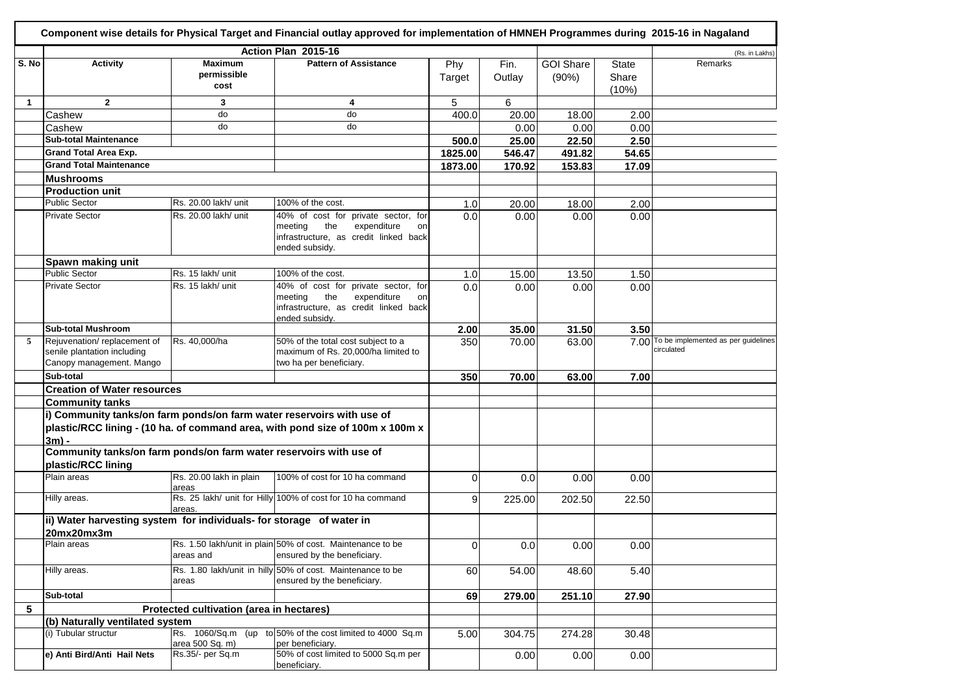|              |                                                                                          |                                          | Component wise details for Physical Target and Financial outlay approved for implementation of HMNEH Programmes during 2015-16 in Nagaland |                |        |                  |                |                                                        |
|--------------|------------------------------------------------------------------------------------------|------------------------------------------|--------------------------------------------------------------------------------------------------------------------------------------------|----------------|--------|------------------|----------------|--------------------------------------------------------|
|              |                                                                                          |                                          | Action Plan 2015-16                                                                                                                        |                |        |                  |                | (Rs. in Lakhs)                                         |
| S. No        | <b>Activity</b>                                                                          | <b>Maximum</b>                           | <b>Pattern of Assistance</b>                                                                                                               | Phy            | Fin.   | <b>GOI Share</b> | <b>State</b>   | Remarks                                                |
|              |                                                                                          | permissible<br>cost                      |                                                                                                                                            | Target         | Outlay | (90%)            | Share<br>(10%) |                                                        |
| $\mathbf{1}$ | $\mathbf{2}$                                                                             | 3                                        | 4                                                                                                                                          | 5              | 6      |                  |                |                                                        |
|              | Cashew                                                                                   | do                                       | do                                                                                                                                         | 400.0          | 20.00  | 18.00            | 2.00           |                                                        |
|              | Cashew                                                                                   | do                                       | do                                                                                                                                         |                | 0.00   | 0.00             | 0.00           |                                                        |
|              | <b>Sub-total Maintenance</b>                                                             |                                          |                                                                                                                                            | 500.0          | 25.00  | 22.50            | 2.50           |                                                        |
|              | <b>Grand Total Area Exp.</b>                                                             |                                          |                                                                                                                                            | 1825.00        | 546.47 | 491.82           | 54.65          |                                                        |
|              | <b>Grand Total Maintenance</b>                                                           |                                          |                                                                                                                                            | 1873.00        | 170.92 | 153.83           | 17.09          |                                                        |
|              | <b>Mushrooms</b>                                                                         |                                          |                                                                                                                                            |                |        |                  |                |                                                        |
|              |                                                                                          |                                          |                                                                                                                                            |                |        |                  |                |                                                        |
|              | <b>Production unit</b><br><b>Public Sector</b>                                           |                                          |                                                                                                                                            |                |        |                  |                |                                                        |
|              |                                                                                          | Rs. 20.00 lakh/ unit                     | 100% of the cost.                                                                                                                          | 1.0            | 20.00  | 18.00            | 2.00           |                                                        |
|              | <b>Private Sector</b>                                                                    | Rs. 20.00 lakh/ unit                     | 40% of cost for private sector, for<br>the<br>meeting<br>expenditure<br>on<br>infrastructure, as credit linked back<br>ended subsidy.      | 0.0            | 0.00   | 0.00             | 0.00           |                                                        |
|              | Spawn making unit                                                                        |                                          |                                                                                                                                            |                |        |                  |                |                                                        |
|              | <b>Public Sector</b>                                                                     | Rs. 15 lakh/ unit                        | 100% of the cost.                                                                                                                          | 1.0            | 15.00  | 13.50            | 1.50           |                                                        |
|              | <b>Private Sector</b>                                                                    | Rs. 15 lakh/ unit                        | 40% of cost for private sector, for                                                                                                        | 0.0            | 0.00   | 0.00             | 0.00           |                                                        |
|              |                                                                                          |                                          | the<br>meeting<br>expenditure<br>on<br>infrastructure, as credit linked back<br>ended subsidy.                                             |                |        |                  |                |                                                        |
|              | <b>Sub-total Mushroom</b>                                                                |                                          |                                                                                                                                            | 2.00           | 35.00  | 31.50            | 3.50           |                                                        |
| 5            | Rejuvenation/replacement of<br>senile plantation including<br>Canopy management. Mango   | Rs. 40,000/ha                            | 50% of the total cost subject to a<br>maximum of Rs. 20,000/ha limited to<br>two ha per beneficiary.                                       | 350            | 70.00  | 63.00            |                | 7.00 To be implemented as per guidelines<br>circulated |
|              | Sub-total                                                                                |                                          |                                                                                                                                            | 350            | 70.00  | 63.00            | 7.00           |                                                        |
|              | <b>Creation of Water resources</b>                                                       |                                          |                                                                                                                                            |                |        |                  |                |                                                        |
|              | <b>Community tanks</b>                                                                   |                                          |                                                                                                                                            |                |        |                  |                |                                                        |
|              | i) Community tanks/on farm ponds/on farm water reservoirs with use of<br>$3m$ ) -        |                                          | plastic/RCC lining - (10 ha. of command area, with pond size of 100m x 100m x                                                              |                |        |                  |                |                                                        |
|              | Community tanks/on farm ponds/on farm water reservoirs with use of<br>plastic/RCC lining |                                          |                                                                                                                                            |                |        |                  |                |                                                        |
|              | Plain areas                                                                              | Rs. 20.00 lakh in plain<br>areas         | 100% of cost for 10 ha command                                                                                                             | $\Omega$       | 0.0    | 0.00             | 0.00           |                                                        |
|              | Hilly areas.                                                                             | areas.                                   | Rs. 25 lakh/ unit for Hilly 100% of cost for 10 ha command                                                                                 | 9              | 225.00 | 202.50           | 22.50          |                                                        |
|              | ii) Water harvesting system for individuals- for storage of water in<br>20mx20mx3m       |                                          |                                                                                                                                            |                |        |                  |                |                                                        |
|              | Plain areas                                                                              | areas and                                | Rs. 1.50 lakh/unit in plain 50% of cost. Maintenance to be<br>ensured by the beneficiary.                                                  | $\overline{0}$ | 0.0    | 0.00             | 0.00           |                                                        |
|              | Hilly areas.                                                                             | areas                                    | Rs. 1.80 lakh/unit in hilly 50% of cost. Maintenance to be<br>ensured by the beneficiary.                                                  | 60             | 54.00  | 48.60            | 5.40           |                                                        |
|              | Sub-total                                                                                |                                          |                                                                                                                                            | 69             | 279.00 | 251.10           | 27.90          |                                                        |
| 5            |                                                                                          | Protected cultivation (area in hectares) |                                                                                                                                            |                |        |                  |                |                                                        |
|              | (b) Naturally ventilated system                                                          |                                          |                                                                                                                                            |                |        |                  |                |                                                        |
|              | (i) Tubular structur                                                                     | area 500 Sq. m)                          | Rs. 1060/Sq.m (up to 50% of the cost limited to 4000 Sq.m<br>per beneficiary.                                                              | 5.00           | 304.75 | 274.28           | 30.48          |                                                        |
|              | e) Anti Bird/Anti Hail Nets                                                              | Rs.35/- per Sq.m                         | 50% of cost limited to 5000 Sq.m per<br>beneficiary.                                                                                       |                | 0.00   | 0.00             | 0.00           |                                                        |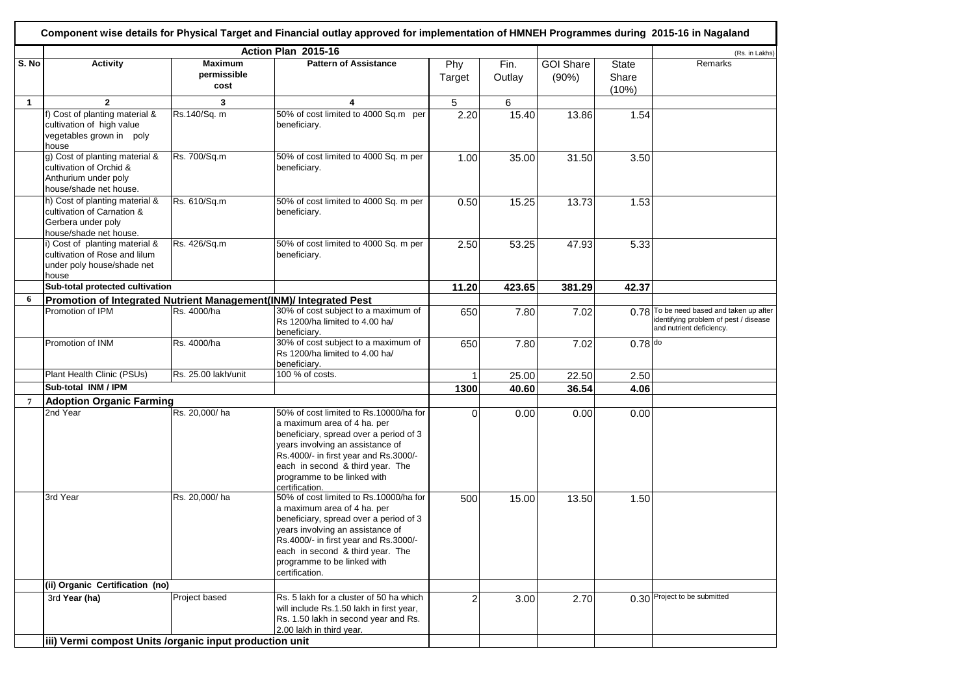|                |                                                                                                              |                                       | Component wise details for Physical Target and Financial outlay approved for implementation of HMNEH Programmes during 2015-16 in Nagaland                                                                                                                                        |               |                |                           |                                |                                                                                                          |
|----------------|--------------------------------------------------------------------------------------------------------------|---------------------------------------|-----------------------------------------------------------------------------------------------------------------------------------------------------------------------------------------------------------------------------------------------------------------------------------|---------------|----------------|---------------------------|--------------------------------|----------------------------------------------------------------------------------------------------------|
|                |                                                                                                              |                                       | Action Plan 2015-16                                                                                                                                                                                                                                                               |               |                |                           |                                | (Rs. in Lakhs)                                                                                           |
| S. No          | <b>Activity</b>                                                                                              | <b>Maximum</b><br>permissible<br>cost | <b>Pattern of Assistance</b>                                                                                                                                                                                                                                                      | Phy<br>Target | Fin.<br>Outlay | <b>GOI Share</b><br>(90%) | <b>State</b><br>Share<br>(10%) | Remarks                                                                                                  |
| $\mathbf{1}$   | $\mathbf{2}$                                                                                                 | 3                                     | 4                                                                                                                                                                                                                                                                                 | 5             | 6              |                           |                                |                                                                                                          |
|                | f) Cost of planting material &<br>cultivation of high value<br>vegetables grown in poly<br>house             | Rs.140/Sq. m                          | 50% of cost limited to 4000 Sq.m per<br>beneficiary.                                                                                                                                                                                                                              | 2.20          | 15.40          | 13.86                     | 1.54                           |                                                                                                          |
|                | g) Cost of planting material &<br>cultivation of Orchid &<br>Anthurium under poly<br>house/shade net house.  | Rs. 700/Sq.m                          | 50% of cost limited to 4000 Sq. m per<br>beneficiary.                                                                                                                                                                                                                             | 1.00          | 35.00          | 31.50                     | 3.50                           |                                                                                                          |
|                | h) Cost of planting material &<br>cultivation of Carnation &<br>Gerbera under poly<br>house/shade net house. | Rs. 610/Sq.m                          | 50% of cost limited to 4000 Sq. m per<br>beneficiary.                                                                                                                                                                                                                             | 0.50          | 15.25          | 13.73                     | 1.53                           |                                                                                                          |
|                | i) Cost of planting material &<br>cultivation of Rose and lilum<br>under poly house/shade net<br>house       | Rs. 426/Sq.m                          | 50% of cost limited to 4000 Sq. m per<br>beneficiary.                                                                                                                                                                                                                             | 2.50          | 53.25          | 47.93                     | 5.33                           |                                                                                                          |
|                | Sub-total protected cultivation                                                                              |                                       |                                                                                                                                                                                                                                                                                   | 11.20         | 423.65         | 381.29                    | 42.37                          |                                                                                                          |
| 6              | Promotion of Integrated Nutrient Management(INM)/ Integrated Pest                                            |                                       |                                                                                                                                                                                                                                                                                   |               |                |                           |                                |                                                                                                          |
|                | Promotion of IPM                                                                                             | Rs. 4000/ha                           | 30% of cost subject to a maximum of<br>Rs 1200/ha limited to 4.00 ha/<br>beneficiary.                                                                                                                                                                                             | 650           | 7.80           | 7.02                      | 0.78                           | To be need based and taken up after<br>identifying problem of pest / disease<br>and nutrient deficiency. |
|                | Promotion of INM                                                                                             | Rs. 4000/ha                           | 30% of cost subject to a maximum of<br>Rs 1200/ha limited to 4.00 ha/<br>beneficiary.                                                                                                                                                                                             | 650           | 7.80           | 7.02                      | $0.78$ do                      |                                                                                                          |
|                | Plant Health Clinic (PSUs)                                                                                   | Rs. 25.00 lakh/unit                   | 100 % of costs.                                                                                                                                                                                                                                                                   |               | 25.00          | 22.50                     | 2.50                           |                                                                                                          |
|                | Sub-total INM / IPM                                                                                          |                                       |                                                                                                                                                                                                                                                                                   | 1300          | 40.60          | 36.54                     | 4.06                           |                                                                                                          |
| $\overline{7}$ | <b>Adoption Organic Farming</b>                                                                              |                                       |                                                                                                                                                                                                                                                                                   |               |                |                           |                                |                                                                                                          |
|                | 2nd Year                                                                                                     | Rs. 20,000/ha                         | 50% of cost limited to Rs.10000/ha for<br>a maximum area of 4 ha. per<br>beneficiary, spread over a period of 3<br>years involving an assistance of<br>Rs.4000/- in first year and Rs.3000/-<br>each in second & third year. The<br>programme to be linked with<br>certification. | 0             | 0.00           | 0.00                      | 0.00                           |                                                                                                          |
|                | 3rd Year                                                                                                     | Rs. 20,000/ha                         | 50% of cost limited to Rs.10000/ha for<br>a maximum area of 4 ha. per<br>beneficiary, spread over a period of 3<br>years involving an assistance of<br>Rs.4000/- in first year and Rs.3000/-<br>each in second & third year. The<br>programme to be linked with<br>certification. | 500           | 15.00          | 13.50                     | 1.50                           |                                                                                                          |
|                | (ii) Organic Certification (no)                                                                              |                                       |                                                                                                                                                                                                                                                                                   |               |                |                           |                                |                                                                                                          |
|                | 3rd Year (ha)                                                                                                | Project based                         | Rs. 5 lakh for a cluster of 50 ha which<br>will include Rs.1.50 lakh in first year,<br>Rs. 1.50 lakh in second year and Rs.<br>2.00 lakh in third year.                                                                                                                           | $\mathbf{2}$  | 3.00           | 2.70                      |                                | 0.30 Project to be submitted                                                                             |
|                | iii) Vermi compost Units /organic input production unit                                                      |                                       |                                                                                                                                                                                                                                                                                   |               |                |                           |                                |                                                                                                          |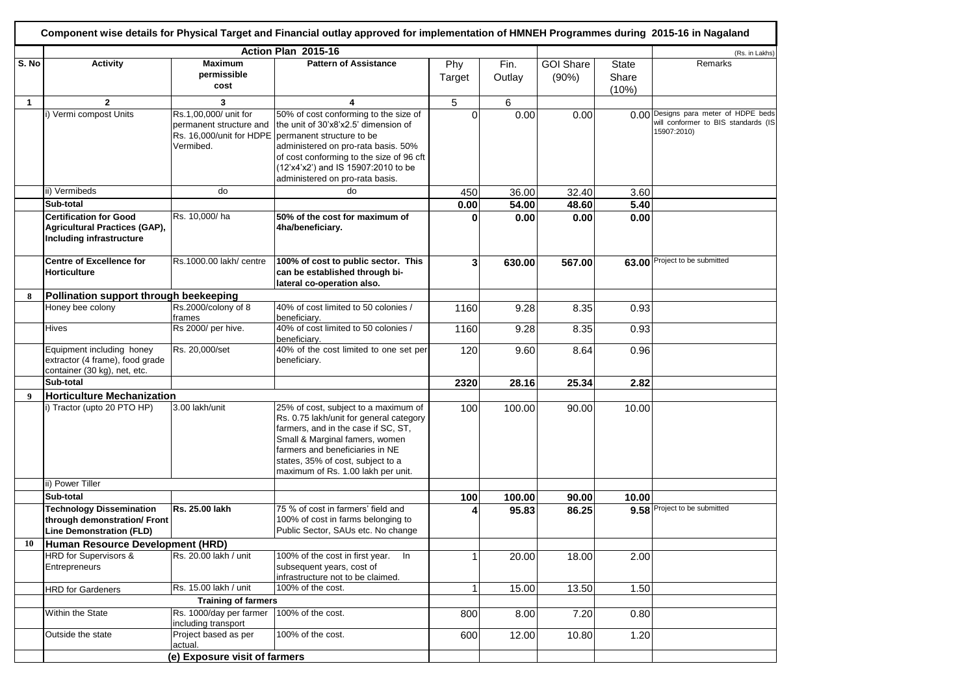|                  |                                                                                                    |                                                                                           | Component wise details for Physical Target and Financial outlay approved for implementation of HMNEH Programmes during 2015-16 in Nagaland                                                                                                                              |               |                |                           |                                |                                                                                            |
|------------------|----------------------------------------------------------------------------------------------------|-------------------------------------------------------------------------------------------|-------------------------------------------------------------------------------------------------------------------------------------------------------------------------------------------------------------------------------------------------------------------------|---------------|----------------|---------------------------|--------------------------------|--------------------------------------------------------------------------------------------|
|                  |                                                                                                    |                                                                                           | Action Plan 2015-16                                                                                                                                                                                                                                                     |               |                |                           |                                | (Rs. in Lakhs)                                                                             |
| S. No            | <b>Activity</b>                                                                                    | <b>Maximum</b><br>permissible<br>cost                                                     | <b>Pattern of Assistance</b>                                                                                                                                                                                                                                            | Phy<br>Target | Fin.<br>Outlay | <b>GOI Share</b><br>(90%) | <b>State</b><br>Share<br>(10%) | Remarks                                                                                    |
| $\mathbf{1}$     | $\mathbf{2}$                                                                                       | 3                                                                                         | 4                                                                                                                                                                                                                                                                       | 5             | 6              |                           |                                |                                                                                            |
|                  | i) Vermi compost Units                                                                             | Rs.1,00,000/ unit for<br>permanent structure and<br>Rs. 16,000/unit for HDPE<br>Vermibed. | 50% of cost conforming to the size of<br>the unit of 30'x8'x2.5' dimension of<br>permanent structure to be<br>administered on pro-rata basis. 50%<br>of cost conforming to the size of 96 cft<br>(12'x4'x2') and IS 15907:2010 to be<br>administered on pro-rata basis. | $\Omega$      | 0.00           | 0.00                      |                                | 0.00 Designs para meter of HDPE beds<br>will conformer to BIS standards (IS<br>15907:2010) |
|                  | ii) Vermibeds                                                                                      | do                                                                                        | do                                                                                                                                                                                                                                                                      | 450           | 36.00          | 32.40                     | 3.60                           |                                                                                            |
|                  | Sub-total                                                                                          |                                                                                           |                                                                                                                                                                                                                                                                         | 0.00          | 54.00          | 48.60                     | 5.40                           |                                                                                            |
|                  | <b>Certification for Good</b><br>Agricultural Practices (GAP),<br>Including infrastructure         | Rs. 10,000/ha                                                                             | 50% of the cost for maximum of<br>4ha/beneficiary.                                                                                                                                                                                                                      | 0             | 0.00           | 0.00                      | 0.00                           |                                                                                            |
|                  | <b>Centre of Excellence for</b><br><b>Horticulture</b>                                             | Rs.1000.00 lakh/ centre                                                                   | 100% of cost to public sector. This<br>can be established through bi-<br>lateral co-operation also.                                                                                                                                                                     | 3             | 630.00         | 567.00                    |                                | 63.00 Project to be submitted                                                              |
| 8                | Pollination support through beekeeping                                                             |                                                                                           |                                                                                                                                                                                                                                                                         |               |                |                           |                                |                                                                                            |
|                  | Honey bee colony                                                                                   | Rs.2000/colony of 8<br>frames                                                             | 40% of cost limited to 50 colonies /<br>beneficiary.                                                                                                                                                                                                                    | 1160          | 9.28           | 8.35                      | 0.93                           |                                                                                            |
|                  | <b>Hives</b>                                                                                       | Rs 2000/ per hive.                                                                        | 40% of cost limited to 50 colonies /<br>beneficiary.                                                                                                                                                                                                                    | 1160          | 9.28           | 8.35                      | 0.93                           |                                                                                            |
|                  | Equipment including honey<br>extractor (4 frame), food grade<br>container (30 kg), net, etc.       | Rs. 20,000/set                                                                            | 40% of the cost limited to one set per<br>beneficiary.                                                                                                                                                                                                                  | 120           | 9.60           | 8.64                      | 0.96                           |                                                                                            |
|                  | Sub-total                                                                                          |                                                                                           |                                                                                                                                                                                                                                                                         | 2320          | 28.16          | 25.34                     | 2.82                           |                                                                                            |
| $\boldsymbol{Q}$ | <b>Horticulture Mechanization</b>                                                                  |                                                                                           |                                                                                                                                                                                                                                                                         |               |                |                           |                                |                                                                                            |
|                  | i) Tractor (upto 20 PTO HP)                                                                        | 3.00 lakh/unit                                                                            | 25% of cost, subject to a maximum of<br>Rs. 0.75 lakh/unit for general category<br>farmers, and in the case if SC, ST,<br>Small & Marginal famers, women<br>farmers and beneficiaries in NE<br>states, 35% of cost, subject to a<br>maximum of Rs. 1.00 lakh per unit.  | 100           | 100.00         | 90.00                     | 10.00                          |                                                                                            |
|                  | ii) Power Tiller                                                                                   |                                                                                           |                                                                                                                                                                                                                                                                         |               |                |                           |                                |                                                                                            |
|                  | Sub-total                                                                                          |                                                                                           |                                                                                                                                                                                                                                                                         | 100           | 100.00         | 90.00                     | 10.00                          |                                                                                            |
|                  | <b>Technology Dissemination</b><br>through demonstration/ Front<br><b>Line Demonstration (FLD)</b> | Rs. 25.00 lakh                                                                            | 75 % of cost in farmers' field and<br>100% of cost in farms belonging to<br>Public Sector, SAUs etc. No change                                                                                                                                                          | 4             | 95.83          | 86.25                     |                                | 9.58 Project to be submitted                                                               |
| 10               | Human Resource Development (HRD)                                                                   |                                                                                           |                                                                                                                                                                                                                                                                         |               |                |                           |                                |                                                                                            |
|                  | HRD for Supervisors &<br>Entrepreneurs                                                             | Rs. 20.00 lakh / unit                                                                     | 100% of the cost in first year. In<br>subsequent years, cost of<br>infrastructure not to be claimed.                                                                                                                                                                    | 1             | 20.00          | 18.00                     | 2.00                           |                                                                                            |
|                  | <b>HRD for Gardeners</b>                                                                           | Rs. 15.00 lakh / unit                                                                     | 100% of the cost.                                                                                                                                                                                                                                                       | $\mathbf{1}$  | 15.00          | 13.50                     | 1.50                           |                                                                                            |
|                  |                                                                                                    | <b>Training of farmers</b>                                                                |                                                                                                                                                                                                                                                                         |               |                |                           |                                |                                                                                            |
|                  | Within the State                                                                                   | Rs. 1000/day per farmer<br>including transport                                            | 100% of the cost.                                                                                                                                                                                                                                                       | 800           | 8.00           | 7.20                      | 0.80                           |                                                                                            |
|                  | Outside the state                                                                                  | Project based as per<br>actual.                                                           | 100% of the cost.                                                                                                                                                                                                                                                       | 600           | 12.00          | 10.80                     | 1.20                           |                                                                                            |
|                  |                                                                                                    | (e) Exposure visit of farmers                                                             |                                                                                                                                                                                                                                                                         |               |                |                           |                                |                                                                                            |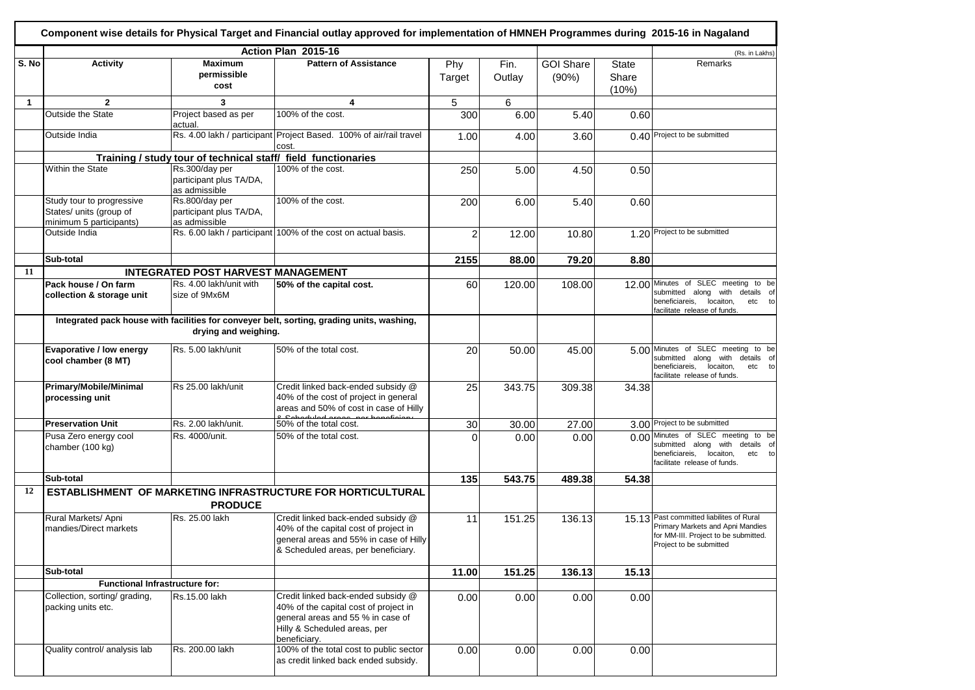|              |                                                                                 |                                                               | Component wise details for Physical Target and Financial outlay approved for implementation of HMNEH Programmes during 2015-16 in Nagaland                       |                |                 |                           |                                |                                                                                                                                                   |
|--------------|---------------------------------------------------------------------------------|---------------------------------------------------------------|------------------------------------------------------------------------------------------------------------------------------------------------------------------|----------------|-----------------|---------------------------|--------------------------------|---------------------------------------------------------------------------------------------------------------------------------------------------|
|              |                                                                                 |                                                               | Action Plan 2015-16                                                                                                                                              |                |                 |                           |                                | (Rs. in Lakhs)                                                                                                                                    |
| S. No        | <b>Activity</b>                                                                 | <b>Maximum</b><br>permissible<br>cost                         | <b>Pattern of Assistance</b>                                                                                                                                     | Phy<br>Target  | Fin.<br>Outlay  | <b>GOI Share</b><br>(90%) | <b>State</b><br>Share<br>(10%) | Remarks                                                                                                                                           |
| $\mathbf{1}$ | $\mathbf{2}$                                                                    | 3                                                             | 4                                                                                                                                                                | 5              | $6\phantom{.}6$ |                           |                                |                                                                                                                                                   |
|              | <b>Outside the State</b>                                                        | Project based as per<br>actual.                               | 100% of the cost.                                                                                                                                                | 300            | 6.00            | 5.40                      | 0.60                           |                                                                                                                                                   |
|              | Outside India                                                                   |                                                               | Rs. 4.00 lakh / participant Project Based. 100% of air/rail travel<br>cost.                                                                                      | 1.00           | 4.00            | 3.60                      |                                | 0.40 Project to be submitted                                                                                                                      |
|              |                                                                                 | Training / study tour of technical staff/ field functionaries |                                                                                                                                                                  |                |                 |                           |                                |                                                                                                                                                   |
|              | <b>Within the State</b>                                                         | Rs.300/day per<br>participant plus TA/DA,<br>as admissible    | 100% of the cost.                                                                                                                                                | 250            | 5.00            | 4.50                      | 0.50                           |                                                                                                                                                   |
|              | Study tour to progressive<br>States/ units (group of<br>minimum 5 participants) | Rs.800/day per<br>participant plus TA/DA,<br>as admissible    | 100% of the cost.                                                                                                                                                | 200            | 6.00            | 5.40                      | 0.60                           |                                                                                                                                                   |
|              | Outside India                                                                   |                                                               | Rs. 6.00 lakh / participant 100% of the cost on actual basis.                                                                                                    | $\overline{2}$ | 12.00           | 10.80                     |                                | 1.20 Project to be submitted                                                                                                                      |
|              | Sub-total                                                                       |                                                               |                                                                                                                                                                  | 2155           | 88.00           | 79.20                     | 8.80                           |                                                                                                                                                   |
| 11           |                                                                                 | INTEGRATED POST HARVEST MANAGEMENT                            |                                                                                                                                                                  |                |                 |                           |                                |                                                                                                                                                   |
|              | Pack house / On farm<br>collection & storage unit                               | Rs. 4.00 lakh/unit with<br>size of 9Mx6M                      | 50% of the capital cost.                                                                                                                                         | 60             | 120.00          | 108.00                    |                                | 12.00 Minutes of SLEC meeting to be<br>submitted along with<br>details of<br>beneficiareis, locaiton,<br>etc to<br>facilitate release of funds.   |
|              |                                                                                 | drying and weighing.                                          | Integrated pack house with facilities for conveyer belt, sorting, grading units, washing,                                                                        |                |                 |                           |                                |                                                                                                                                                   |
|              | Evaporative / low energy<br>cool chamber (8 MT)                                 | Rs. 5.00 lakh/unit                                            | 50% of the total cost.                                                                                                                                           | 20             | 50.00           | 45.00                     |                                | 5.00 Minutes of SLEC meeting to be<br>submitted along with details of<br>beneficiareis,<br>locaiton,<br>etc to<br>facilitate release of funds.    |
|              | Primary/Mobile/Minimal<br>processing unit                                       | Rs 25.00 lakh/unit                                            | Credit linked back-ended subsidy @<br>40% of the cost of project in general<br>areas and 50% of cost in case of Hilly                                            | 25             | 343.75          | 309.38                    | 34.38                          |                                                                                                                                                   |
|              | <b>Preservation Unit</b>                                                        | Rs. 2.00 lakh/unit.                                           | 50% of the total cost.                                                                                                                                           | 30             | 30.00           | 27.00                     |                                | 3.00 Project to be submitted                                                                                                                      |
|              | Pusa Zero energy cool<br>chamber (100 kg)                                       | Rs. 4000/unit.                                                | 50% of the total cost.                                                                                                                                           | $\Omega$       | 0.00            | 0.00                      |                                | 0.00 Minutes of SLEC meeting to be<br>submitted along with<br>details of<br>beneficiareis,<br>locaiton,<br>etc to<br>facilitate release of funds. |
|              | Sub-total                                                                       |                                                               |                                                                                                                                                                  | 135            | 543.75          | 489.38                    | 54.38                          |                                                                                                                                                   |
| 12           |                                                                                 | <b>PRODUCE</b>                                                | <b>ESTABLISHMENT OF MARKETING INFRASTRUCTURE FOR HORTICULTURAL</b>                                                                                               |                |                 |                           |                                |                                                                                                                                                   |
|              | Rural Markets/ Apni<br>mandies/Direct markets                                   | Rs. 25.00 lakh                                                | Credit linked back-ended subsidy @<br>40% of the capital cost of project in<br>general areas and 55% in case of Hilly<br>& Scheduled areas, per beneficiary.     | 11             | 151.25          | 136.13                    |                                | 15.13 Past committed liabilites of Rural<br>Primary Markets and Apni Mandies<br>for MM-III. Project to be submitted.<br>Project to be submitted   |
|              | Sub-total                                                                       |                                                               |                                                                                                                                                                  | 11.00          | 151.25          | 136.13                    | 15.13                          |                                                                                                                                                   |
|              | <b>Functional Infrastructure for:</b>                                           |                                                               |                                                                                                                                                                  |                |                 |                           |                                |                                                                                                                                                   |
|              | Collection, sorting/ grading,<br>packing units etc.                             | Rs.15.00 lakh                                                 | Credit linked back-ended subsidy @<br>40% of the capital cost of project in<br>general areas and 55 % in case of<br>Hilly & Scheduled areas, per<br>beneficiary. | 0.00           | 0.00            | 0.00                      | 0.00                           |                                                                                                                                                   |
|              | Quality control/ analysis lab                                                   | Rs. 200.00 lakh                                               | 100% of the total cost to public sector<br>as credit linked back ended subsidy.                                                                                  | 0.00           | 0.00            | 0.00                      | 0.00                           |                                                                                                                                                   |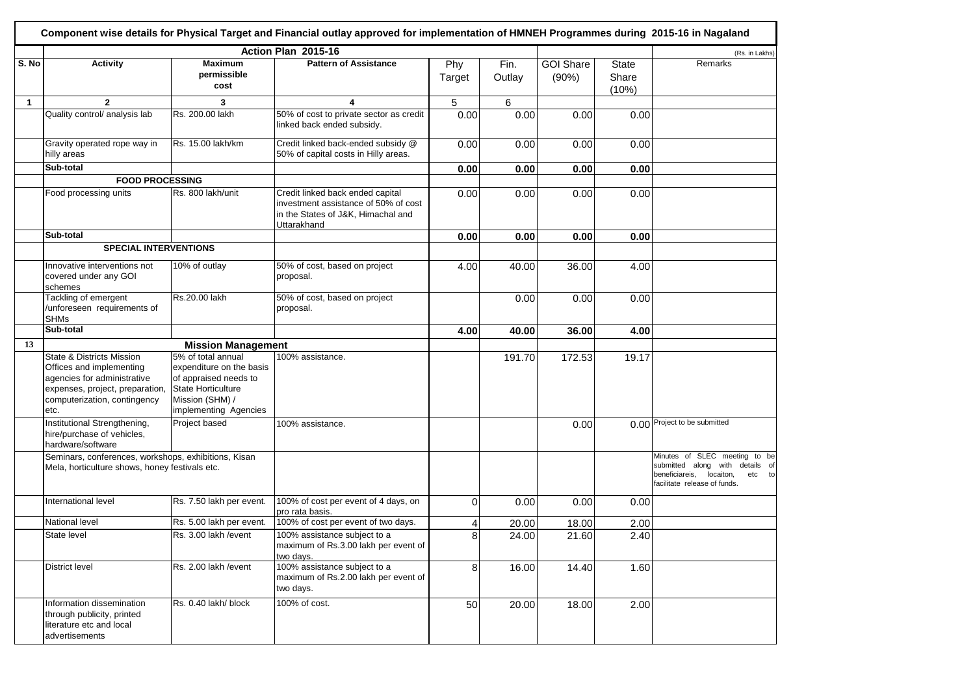|              |                                                                                                                                                                            |                                                                                                                                                  | Component wise details for Physical Target and Financial outlay approved for implementation of HMNEH Programmes during 2015-16 in Nagaland |               |                |                           |                                |                                                                                                                                              |
|--------------|----------------------------------------------------------------------------------------------------------------------------------------------------------------------------|--------------------------------------------------------------------------------------------------------------------------------------------------|--------------------------------------------------------------------------------------------------------------------------------------------|---------------|----------------|---------------------------|--------------------------------|----------------------------------------------------------------------------------------------------------------------------------------------|
|              |                                                                                                                                                                            |                                                                                                                                                  | Action Plan 2015-16                                                                                                                        |               |                |                           |                                | (Rs. in Lakhs)                                                                                                                               |
| S. No        | <b>Activity</b>                                                                                                                                                            | <b>Maximum</b><br>permissible<br>cost                                                                                                            | <b>Pattern of Assistance</b>                                                                                                               | Phy<br>Target | Fin.<br>Outlay | <b>GOI Share</b><br>(90%) | <b>State</b><br>Share<br>(10%) | Remarks                                                                                                                                      |
| $\mathbf{1}$ | $\mathbf{2}$                                                                                                                                                               | 3                                                                                                                                                | 4                                                                                                                                          | 5             | 6              |                           |                                |                                                                                                                                              |
|              | Quality control/ analysis lab                                                                                                                                              | Rs. 200.00 lakh                                                                                                                                  | 50% of cost to private sector as credit<br>linked back ended subsidy.                                                                      | 0.00          | 0.00           | 0.00                      | 0.00                           |                                                                                                                                              |
|              | Gravity operated rope way in<br>hilly areas                                                                                                                                | Rs. 15.00 lakh/km                                                                                                                                | Credit linked back-ended subsidy @<br>50% of capital costs in Hilly areas.                                                                 | 0.00          | 0.00           | 0.00                      | 0.00                           |                                                                                                                                              |
|              | Sub-total                                                                                                                                                                  |                                                                                                                                                  |                                                                                                                                            | 0.00          | 0.00           | 0.00                      | 0.00                           |                                                                                                                                              |
|              | <b>FOOD PROCESSING</b>                                                                                                                                                     |                                                                                                                                                  |                                                                                                                                            |               |                |                           |                                |                                                                                                                                              |
|              | Food processing units                                                                                                                                                      | Rs. 800 lakh/unit                                                                                                                                | Credit linked back ended capital<br>investment assistance of 50% of cost<br>in the States of J&K, Himachal and<br>Uttarakhand              | 0.00          | 0.00           | 0.00                      | 0.00                           |                                                                                                                                              |
|              | Sub-total                                                                                                                                                                  |                                                                                                                                                  |                                                                                                                                            | 0.00          | 0.00           | 0.00                      | 0.00                           |                                                                                                                                              |
|              | <b>SPECIAL INTERVENTIONS</b>                                                                                                                                               |                                                                                                                                                  |                                                                                                                                            |               |                |                           |                                |                                                                                                                                              |
|              | Innovative interventions not<br>covered under any GOI<br>schemes                                                                                                           | 10% of outlay                                                                                                                                    | 50% of cost, based on project<br>proposal.                                                                                                 | 4.00          | 40.00          | 36.00                     | 4.00                           |                                                                                                                                              |
|              | Tackling of emergent<br>/unforeseen requirements of<br><b>SHMs</b>                                                                                                         | Rs.20.00 lakh                                                                                                                                    | 50% of cost, based on project<br>proposal.                                                                                                 |               | 0.00           | 0.00                      | 0.00                           |                                                                                                                                              |
|              | Sub-total                                                                                                                                                                  |                                                                                                                                                  |                                                                                                                                            | 4.00          | 40.00          | 36.00                     | 4.00                           |                                                                                                                                              |
| 13           |                                                                                                                                                                            | <b>Mission Management</b>                                                                                                                        |                                                                                                                                            |               |                |                           |                                |                                                                                                                                              |
|              | <b>State &amp; Districts Mission</b><br>Offices and implementing<br>agencies for administrative<br>expenses, project, preparation,<br>computerization, contingency<br>etc. | 5% of total annual<br>expenditure on the basis<br>of appraised needs to<br><b>State Horticulture</b><br>Mission (SHM) /<br>implementing Agencies | 100% assistance.                                                                                                                           |               | 191.70         | 172.53                    | 19.17                          |                                                                                                                                              |
|              | Institutional Strengthening,<br>hire/purchase of vehicles,<br>hardware/software                                                                                            | Project based                                                                                                                                    | 100% assistance.                                                                                                                           |               |                | 0.00                      |                                | 0.00 Project to be submitted                                                                                                                 |
|              | Seminars, conferences, workshops, exhibitions, Kisan<br>Mela, horticulture shows, honey festivals etc.                                                                     |                                                                                                                                                  |                                                                                                                                            |               |                |                           |                                | Minutes of SLEC meeting to be<br>submitted along with<br>details of<br>beneficiareis,<br>locaiton,<br>etc to<br>facilitate release of funds. |
|              | International level                                                                                                                                                        | Rs. 7.50 lakh per event.                                                                                                                         | 100% of cost per event of 4 days, on<br>pro rata basis.                                                                                    | $\Omega$      | 0.00           | 0.00                      | 0.00                           |                                                                                                                                              |
|              | National level                                                                                                                                                             | Rs. 5.00 lakh per event.                                                                                                                         | 100% of cost per event of two days.                                                                                                        | 4             | 20.00          | 18.00                     | 2.00                           |                                                                                                                                              |
|              | State level                                                                                                                                                                | Rs. 3.00 lakh / event                                                                                                                            | 100% assistance subject to a<br>maximum of Rs.3.00 lakh per event of<br>two days.                                                          | 8             | 24.00          | 21.60                     | 2.40                           |                                                                                                                                              |
|              | District level                                                                                                                                                             | Rs. 2.00 lakh / event                                                                                                                            | 100% assistance subject to a<br>maximum of Rs.2.00 lakh per event of<br>two days.                                                          | 8             | 16.00          | 14.40                     | 1.60                           |                                                                                                                                              |
|              | Information dissemination<br>through publicity, printed<br>literature etc and local<br>advertisements                                                                      | Rs. 0.40 lakh/ block                                                                                                                             | 100% of cost.                                                                                                                              | 50            | 20.00          | 18.00                     | 2.00                           |                                                                                                                                              |